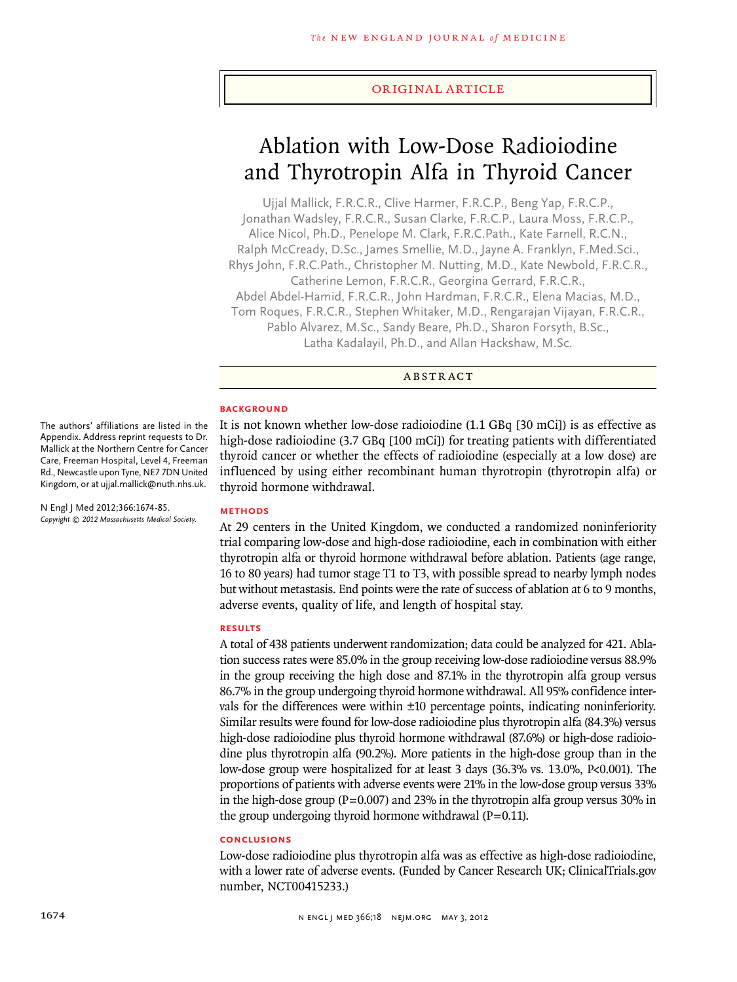## original article

# Ablation with Low-Dose Radioiodine and Thyrotropin Alfa in Thyroid Cancer

Ujjal Mallick, F.R.C.R., Clive Harmer, F.R.C.P., Beng Yap, F.R.C.P., Jonathan Wadsley, F.R.C.R., Susan Clarke, F.R.C.P., Laura Moss, F.R.C.P., Alice Nicol, Ph.D., Penelope M. Clark, F.R.C.Path., Kate Farnell, R.C.N., Ralph McCready, D.Sc., James Smellie, M.D., Jayne A. Franklyn, F.Med.Sci., Rhys John, F.R.C.Path., Christopher M. Nutting, M.D., Kate Newbold, F.R.C.R., Catherine Lemon, F.R.C.R., Georgina Gerrard, F.R.C.R., Abdel Abdel-Hamid, F.R.C.R., John Hardman, F.R.C.R., Elena Macias, M.D., Tom Roques, F.R.C.R., Stephen Whitaker, M.D., Rengarajan Vijayan, F.R.C.R., Pablo Alvarez, M.Sc., Sandy Beare, Ph.D., Sharon Forsyth, B.Sc., Latha Kadalayil, Ph.D., and Allan Hackshaw, M.Sc.

## **ABSTRACT**

## **BACKGROUND**

It is not known whether low-dose radioiodine (1.1 GBq [30 mCi]) is as effective as high-dose radioiodine (3.7 GBq [100 mCi]) for treating patients with differentiated thyroid cancer or whether the effects of radioiodine (especially at a low dose) are influenced by using either recombinant human thyrotropin (thyrotropin alfa) or thyroid hormone withdrawal.

**Methods**

At 29 centers in the United Kingdom, we conducted a randomized noninferiority trial comparing low-dose and high-dose radioiodine, each in combination with either thyrotropin alfa or thyroid hormone withdrawal before ablation. Patients (age range, 16 to 80 years) had tumor stage T1 to T3, with possible spread to nearby lymph nodes but without metastasis. End points were the rate of success of ablation at 6 to 9 months, adverse events, quality of life, and length of hospital stay.

#### **Results**

A total of 438 patients underwent randomization; data could be analyzed for 421. Ablation success rates were 85.0% in the group receiving low-dose radioiodine versus 88.9% in the group receiving the high dose and 87.1% in the thyrotropin alfa group versus 86.7% in the group undergoing thyroid hormone withdrawal. All 95% confidence intervals for the differences were within ±10 percentage points, indicating noninferiority. Similar results were found for low-dose radioiodine plus thyrotropin alfa (84.3%) versus high-dose radioiodine plus thyroid hormone withdrawal (87.6%) or high-dose radioiodine plus thyrotropin alfa (90.2%). More patients in the high-dose group than in the low-dose group were hospitalized for at least 3 days (36.3% vs. 13.0%, P<0.001). The proportions of patients with adverse events were 21% in the low-dose group versus 33% in the high-dose group ( $P=0.007$ ) and 23% in the thyrotropin alfa group versus 30% in the group undergoing thyroid hormone withdrawal  $(P=0.11)$ .

# **Conclusions**

Low-dose radioiodine plus thyrotropin alfa was as effective as high-dose radioiodine, with a lower rate of adverse events. (Funded by Cancer Research UK; ClinicalTrials.gov number, NCT00415233.)

The authors' affiliations are listed in the Appendix. Address reprint requests to Dr. Mallick at the Northern Centre for Cancer Care, Freeman Hospital, Level 4, Freeman Rd., Newcastle upon Tyne, NE7 7DN United Kingdom, or at ujjal.mallick@nuth.nhs.uk.

N Engl J Med 2012;366:1674-85. *Copyright © 2012 Massachusetts Medical Society.*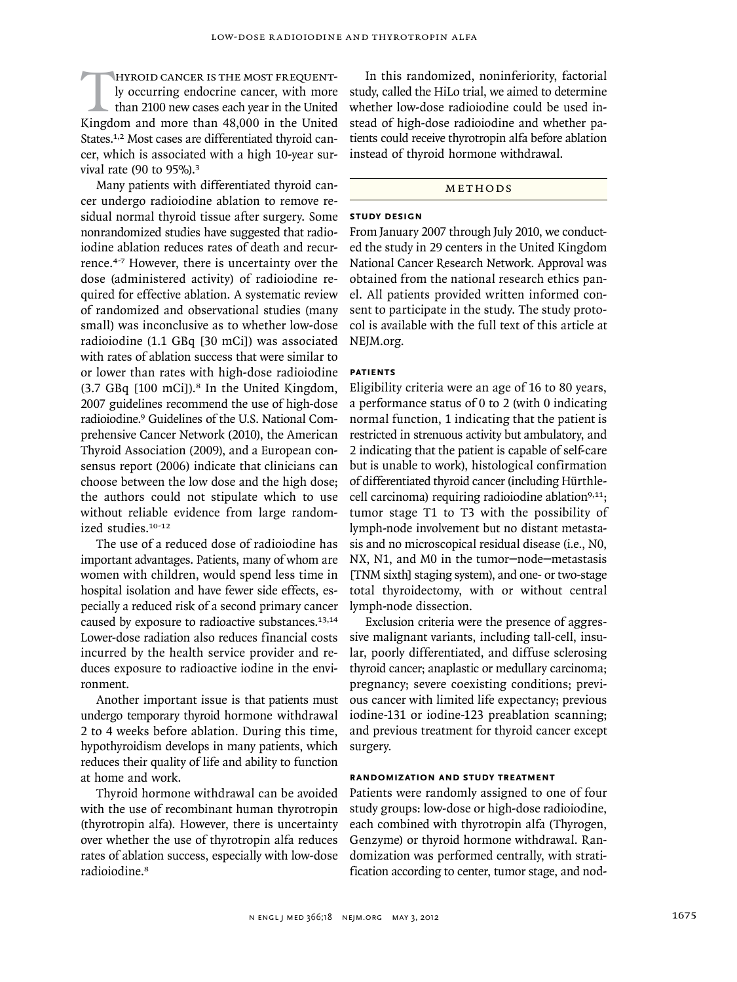HYROID CANCER IS THE MOST FREQUENT-<br>ly occurring endocrine cancer, with more<br>than 2100 new cases each year in the United<br>Kingdom and more than 48.000 in the United ly occurring endocrine cancer, with more than 2100 new cases each year in the United Kingdom and more than 48,000 in the United States.<sup>1,2</sup> Most cases are differentiated thyroid cancer, which is associated with a high 10-year survival rate (90 to 95%).<sup>3</sup>

Many patients with differentiated thyroid cancer undergo radioiodine ablation to remove residual normal thyroid tissue after surgery. Some nonrandomized studies have suggested that radioiodine ablation reduces rates of death and recurrence.4-7 However, there is uncertainty over the dose (administered activity) of radioiodine required for effective ablation. A systematic review of randomized and observational studies (many small) was inconclusive as to whether low-dose radioiodine (1.1 GBq [30 mCi]) was associated with rates of ablation success that were similar to or lower than rates with high-dose radioiodine  $(3.7 \text{ GBq } [100 \text{ mCi}])$ .<sup>8</sup> In the United Kingdom, 2007 guidelines recommend the use of high-dose radioiodine.9 Guidelines of the U.S. National Comprehensive Cancer Network (2010), the American Thyroid Association (2009), and a European consensus report (2006) indicate that clinicians can choose between the low dose and the high dose; the authors could not stipulate which to use without reliable evidence from large randomized studies.10-12

The use of a reduced dose of radioiodine has important advantages. Patients, many of whom are women with children, would spend less time in hospital isolation and have fewer side effects, especially a reduced risk of a second primary cancer caused by exposure to radioactive substances.<sup>13,14</sup> Lower-dose radiation also reduces financial costs incurred by the health service provider and reduces exposure to radioactive iodine in the environment.

Another important issue is that patients must undergo temporary thyroid hormone withdrawal 2 to 4 weeks before ablation. During this time, hypothyroidism develops in many patients, which reduces their quality of life and ability to function at home and work.

Thyroid hormone withdrawal can be avoided with the use of recombinant human thyrotropin (thyrotropin alfa). However, there is uncertainty over whether the use of thyrotropin alfa reduces rates of ablation success, especially with low-dose radioiodine.<sup>8</sup>

In this randomized, noninferiority, factorial study, called the HiLo trial, we aimed to determine whether low-dose radioiodine could be used instead of high-dose radioiodine and whether patients could receive thyrotropin alfa before ablation instead of thyroid hormone withdrawal.

# METHODS

# **Study Design**

From January 2007 through July 2010, we conducted the study in 29 centers in the United Kingdom National Cancer Research Network. Approval was obtained from the national research ethics panel. All patients provided written informed consent to participate in the study. The study protocol is available with the full text of this article at NEJM.org.

# **Patients**

Eligibility criteria were an age of 16 to 80 years, a performance status of 0 to 2 (with 0 indicating normal function, 1 indicating that the patient is restricted in strenuous activity but ambulatory, and 2 indicating that the patient is capable of self-care but is unable to work), histological confirmation of differentiated thyroid cancer (including Hürthlecell carcinoma) requiring radioiodine ablation $9,11$ ; tumor stage T1 to T3 with the possibility of lymph-node involvement but no distant metastasis and no microscopical residual disease (i.e., N0, NX, N1, and M0 in the tumor–node–metastasis [TNM sixth] staging system), and one- or two-stage total thyroidectomy, with or without central lymph-node dissection.

Exclusion criteria were the presence of aggressive malignant variants, including tall-cell, insular, poorly differentiated, and diffuse sclerosing thyroid cancer; anaplastic or medullary carcinoma; pregnancy; severe coexisting conditions; previous cancer with limited life expectancy; previous iodine-131 or iodine-123 preablation scanning; and previous treatment for thyroid cancer except surgery.

# **Randomization and Study Treatment**

Patients were randomly assigned to one of four study groups: low-dose or high-dose radioiodine, each combined with thyrotropin alfa (Thyrogen, Genzyme) or thyroid hormone withdrawal. Randomization was performed centrally, with stratification according to center, tumor stage, and nod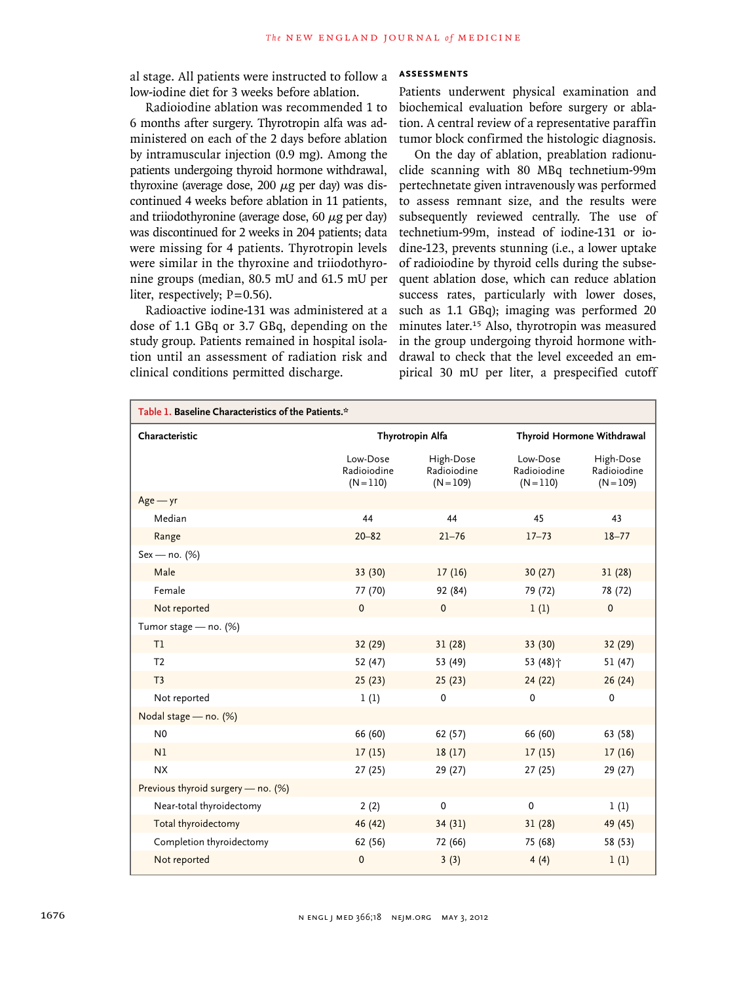al stage. All patients were instructed to follow a low-iodine diet for 3 weeks before ablation.

Radioiodine ablation was recommended 1 to 6 months after surgery. Thyrotropin alfa was administered on each of the 2 days before ablation by intramuscular injection (0.9 mg). Among the patients undergoing thyroid hormone withdrawal, thyroxine (average dose,  $200 \mu$ g per day) was discontinued 4 weeks before ablation in 11 patients, and triiodothyronine (average dose, 60  $\mu$ g per day) was discontinued for 2 weeks in 204 patients; data were missing for 4 patients. Thyrotropin levels were similar in the thyroxine and triiodothyronine groups (median, 80.5 mU and 61.5 mU per liter, respectively;  $P=0.56$ ).

Radioactive iodine-131 was administered at a dose of 1.1 GBq or 3.7 GBq, depending on the study group. Patients remained in hospital isolation until an assessment of radiation risk and clinical conditions permitted discharge.

# **Assessments**

Patients underwent physical examination and biochemical evaluation before surgery or ablation. A central review of a representative paraffin tumor block confirmed the histologic diagnosis.

On the day of ablation, preablation radionuclide scanning with 80 MBq technetium-99m pertechnetate given intravenously was performed to assess remnant size, and the results were subsequently reviewed centrally. The use of technetium-99m, instead of iodine-131 or iodine-123, prevents stunning (i.e., a lower uptake of radioiodine by thyroid cells during the subsequent ablation dose, which can reduce ablation success rates, particularly with lower doses, such as 1.1 GBq); imaging was performed 20 minutes later.15 Also, thyrotropin was measured in the group undergoing thyroid hormone withdrawal to check that the level exceeded an empirical 30 mU per liter, a prespecified cutoff

| Table 1. Baseline Characteristics of the Patients.* |                                        |                                         |                                        |                                         |  |
|-----------------------------------------------------|----------------------------------------|-----------------------------------------|----------------------------------------|-----------------------------------------|--|
| Characteristic                                      | Thyrotropin Alfa                       |                                         |                                        | Thyroid Hormone Withdrawal              |  |
|                                                     | Low-Dose<br>Radioiodine<br>$(N = 110)$ | High-Dose<br>Radioiodine<br>$(N = 109)$ | Low-Dose<br>Radioiodine<br>$(N = 110)$ | High-Dose<br>Radioiodine<br>$(N = 109)$ |  |
| $Age - yr$                                          |                                        |                                         |                                        |                                         |  |
| Median                                              | 44                                     | 44                                      | 45                                     | 43                                      |  |
| Range                                               | $20 - 82$                              | $21 - 76$                               | $17 - 73$                              | $18 - 77$                               |  |
| Sex - no. (%)                                       |                                        |                                         |                                        |                                         |  |
| Male                                                | 33 (30)                                | 17(16)                                  | 30(27)                                 | 31(28)                                  |  |
| Female                                              | 77 (70)                                | 92 (84)                                 | 79 (72)                                | 78 (72)                                 |  |
| Not reported                                        | $\mathbf{0}$                           | $\mathbf{0}$                            | 1(1)                                   | $\mathbf{0}$                            |  |
| Tumor stage - no. (%)                               |                                        |                                         |                                        |                                         |  |
| T1                                                  | 32 (29)                                | 31(28)                                  | 33 (30)                                | 32 (29)                                 |  |
| T <sub>2</sub>                                      | 52 (47)                                | 53 (49)                                 | 53 (48)个                               | 51(47)                                  |  |
| T <sub>3</sub>                                      | 25(23)                                 | 25(23)                                  | 24(22)                                 | 26(24)                                  |  |
| Not reported                                        | 1(1)                                   | $\mathbf{0}$                            | $\Omega$                               | $\mathbf 0$                             |  |
| Nodal stage - no. (%)                               |                                        |                                         |                                        |                                         |  |
| N <sub>0</sub>                                      | 66 (60)                                | 62 (57)                                 | 66 (60)                                | 63 (58)                                 |  |
| N <sub>1</sub>                                      | 17(15)                                 | 18(17)                                  | 17(15)                                 | 17(16)                                  |  |
| <b>NX</b>                                           | 27(25)                                 | 29 (27)                                 | 27(25)                                 | 29 (27)                                 |  |
| Previous thyroid surgery - no. (%)                  |                                        |                                         |                                        |                                         |  |
| Near-total thyroidectomy                            | 2(2)                                   | $\mathbf 0$                             | $\mathbf 0$                            | 1(1)                                    |  |
| Total thyroidectomy                                 | 46 (42)                                | 34(31)                                  | 31(28)                                 | 49 (45)                                 |  |
| Completion thyroidectomy                            | 62 (56)                                | 72 (66)                                 | 75 (68)                                | 58 (53)                                 |  |
| Not reported                                        | $\pmb{0}$                              | 3(3)                                    | 4(4)                                   | 1(1)                                    |  |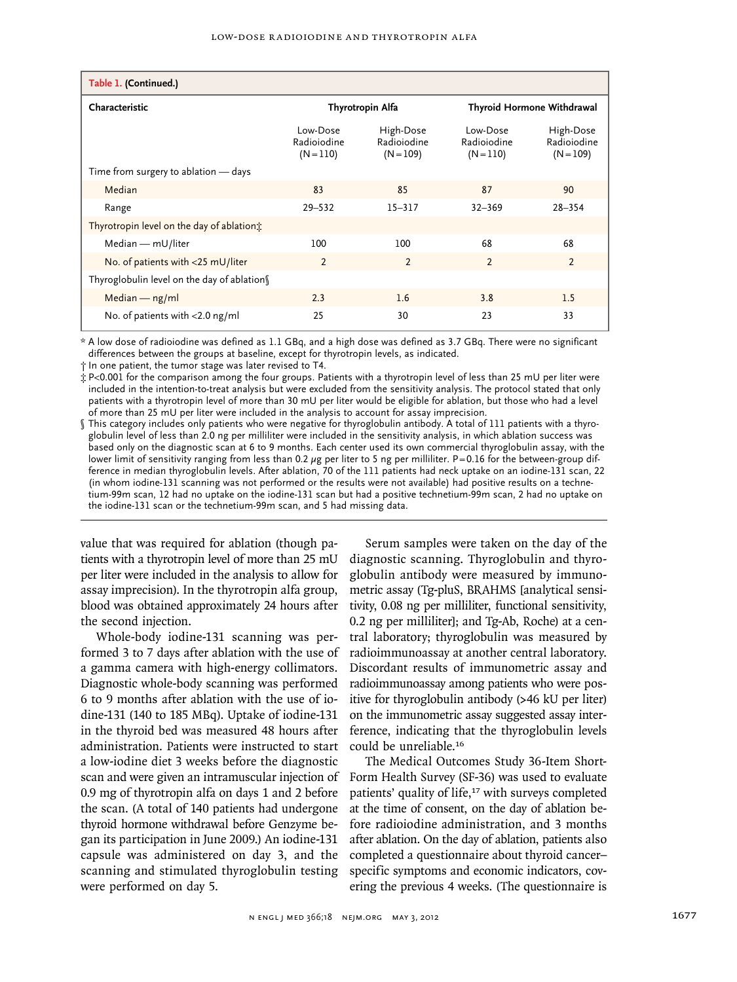| Table 1. (Continued.)                      |                                        |                                         |                                        |                                         |
|--------------------------------------------|----------------------------------------|-----------------------------------------|----------------------------------------|-----------------------------------------|
| Characteristic                             | Thyrotropin Alfa                       |                                         | Thyroid Hormone Withdrawal             |                                         |
|                                            | Low-Dose<br>Radioiodine<br>$(N = 110)$ | High-Dose<br>Radioiodine<br>$(N = 109)$ | Low-Dose<br>Radioiodine<br>$(N = 110)$ | High-Dose<br>Radioiodine<br>$(N = 109)$ |
| Time from surgery to ablation - days       |                                        |                                         |                                        |                                         |
| Median                                     | 83                                     | 85                                      | 87                                     | 90                                      |
| Range                                      | $29 - 532$                             | $15 - 317$                              | $32 - 369$                             | $28 - 354$                              |
| Thyrotropin level on the day of ablation:  |                                        |                                         |                                        |                                         |
| Median - mU/liter                          | 100                                    | 100                                     | 68                                     | 68                                      |
| No. of patients with <25 mU/liter          | $\overline{2}$                         | $\overline{2}$                          | $\overline{2}$                         | $\overline{2}$                          |
| Thyroglobulin level on the day of ablation |                                        |                                         |                                        |                                         |
| Median $-$ ng/ml                           | 2.3                                    | 1.6                                     | 3.8                                    | 1.5                                     |
| No. of patients with $<$ 2.0 ng/ml         | 25                                     | 30                                      | 23                                     | 33                                      |

\* A low dose of radioiodine was defined as 1.1 GBq, and a high dose was defined as 3.7 GBq. There were no significant differences between the groups at baseline, except for thyrotropin levels, as indicated.

† In one patient, the tumor stage was later revised to T4.

‡ P<0.001 for the comparison among the four groups. Patients with a thyrotropin level of less than 25 mU per liter were included in the intention-to-treat analysis but were excluded from the sensitivity analysis. The protocol stated that only patients with a thyrotropin level of more than 30 mU per liter would be eligible for ablation, but those who had a level of more than 25 mU per liter were included in the analysis to account for assay imprecision.

§ This category includes only patients who were negative for thyroglobulin antibody. A total of 111 patients with a thyroglobulin level of less than 2.0 ng per milliliter were included in the sensitivity analysis, in which ablation success was based only on the diagnostic scan at 6 to 9 months. Each center used its own commercial thyroglobulin assay, with the lower limit of sensitivity ranging from less than 0.2 µg per liter to 5 ng per milliliter. P=0.16 for the between-group difference in median thyroglobulin levels. After ablation, 70 of the 111 patients had neck uptake on an iodine-131 scan, 22 (in whom iodine-131 scanning was not performed or the results were not available) had positive results on a technetium-99m scan, 12 had no uptake on the iodine-131 scan but had a positive technetium-99m scan, 2 had no uptake on the iodine-131 scan or the technetium-99m scan, and 5 had missing data.

value that was required for ablation (though patients with a thyrotropin level of more than 25 mU per liter were included in the analysis to allow for assay imprecision). In the thyrotropin alfa group, blood was obtained approximately 24 hours after the second injection.

Whole-body iodine-131 scanning was performed 3 to 7 days after ablation with the use of a gamma camera with high-energy collimators. Diagnostic whole-body scanning was performed 6 to 9 months after ablation with the use of iodine-131 (140 to 185 MBq). Uptake of iodine-131 in the thyroid bed was measured 48 hours after administration. Patients were instructed to start a low-iodine diet 3 weeks before the diagnostic scan and were given an intramuscular injection of 0.9 mg of thyrotropin alfa on days 1 and 2 before the scan. (A total of 140 patients had undergone thyroid hormone withdrawal before Genzyme began its participation in June 2009.) An iodine-131 capsule was administered on day 3, and the scanning and stimulated thyroglobulin testing were performed on day 5.

Serum samples were taken on the day of the diagnostic scanning. Thyroglobulin and thyroglobulin antibody were measured by immunometric assay (Tg-pluS, BRAHMS [analytical sensitivity, 0.08 ng per milliliter, functional sensitivity, 0.2 ng per milliliter]; and Tg-Ab, Roche) at a central laboratory; thyroglobulin was measured by radioimmunoassay at another central laboratory. Discordant results of immunometric assay and radioimmunoassay among patients who were positive for thyroglobulin antibody (>46 kU per liter) on the immunometric assay suggested assay interference, indicating that the thyroglobulin levels could be unreliable.<sup>16</sup>

The Medical Outcomes Study 36-Item Short-Form Health Survey (SF-36) was used to evaluate patients' quality of life,<sup>17</sup> with surveys completed at the time of consent, on the day of ablation before radioiodine administration, and 3 months after ablation. On the day of ablation, patients also completed a questionnaire about thyroid cancer– specific symptoms and economic indicators, covering the previous 4 weeks. (The questionnaire is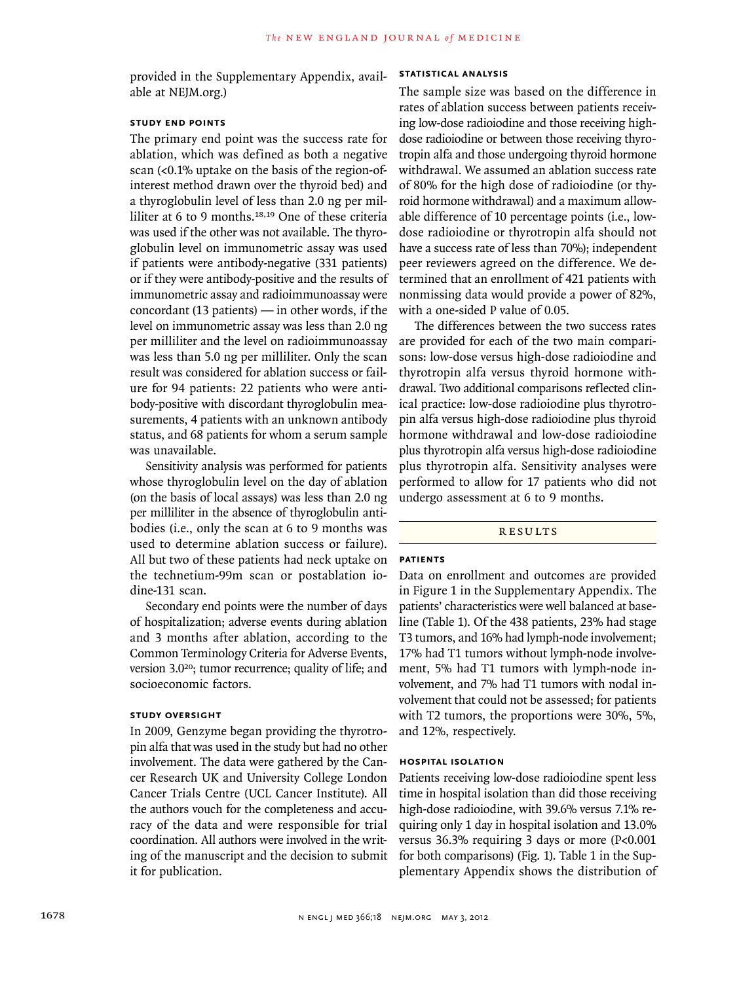provided in the Supplementary Appendix, available at NEJM.org.)

# **Study End Points**

The primary end point was the success rate for ablation, which was defined as both a negative scan (<0.1% uptake on the basis of the region-ofinterest method drawn over the thyroid bed) and a thyroglobulin level of less than 2.0 ng per milliliter at 6 to 9 months.18,19 One of these criteria was used if the other was not available. The thyroglobulin level on immunometric assay was used if patients were antibody-negative (331 patients) or if they were antibody-positive and the results of immunometric assay and radioimmunoassay were concordant (13 patients) — in other words, if the level on immunometric assay was less than 2.0 ng per milliliter and the level on radioimmunoassay was less than 5.0 ng per milliliter. Only the scan result was considered for ablation success or failure for 94 patients: 22 patients who were antibody-positive with discordant thyroglobulin measurements, 4 patients with an unknown antibody status, and 68 patients for whom a serum sample was unavailable.

Sensitivity analysis was performed for patients whose thyroglobulin level on the day of ablation (on the basis of local assays) was less than 2.0 ng per milliliter in the absence of thyroglobulin antibodies (i.e., only the scan at 6 to 9 months was used to determine ablation success or failure). All but two of these patients had neck uptake on the technetium-99m scan or postablation iodine-131 scan.

Secondary end points were the number of days of hospitalization; adverse events during ablation and 3 months after ablation, according to the Common Terminology Criteria for Adverse Events, version 3.020; tumor recurrence; quality of life; and socioeconomic factors.

# **Study Oversight**

In 2009, Genzyme began providing the thyrotropin alfa that was used in the study but had no other involvement. The data were gathered by the Cancer Research UK and University College London Cancer Trials Centre (UCL Cancer Institute). All the authors vouch for the completeness and accuracy of the data and were responsible for trial coordination. All authors were involved in the writing of the manuscript and the decision to submit it for publication.

#### **Statistical Analysis**

The sample size was based on the difference in rates of ablation success between patients receiving low-dose radioiodine and those receiving highdose radioiodine or between those receiving thyrotropin alfa and those undergoing thyroid hormone withdrawal. We assumed an ablation success rate of 80% for the high dose of radioiodine (or thyroid hormone withdrawal) and a maximum allowable difference of 10 percentage points (i.e., lowdose radioiodine or thyrotropin alfa should not have a success rate of less than 70%); independent peer reviewers agreed on the difference. We determined that an enrollment of 421 patients with nonmissing data would provide a power of 82%, with a one-sided P value of 0.05.

The differences between the two success rates are provided for each of the two main comparisons: low-dose versus high-dose radioiodine and thyrotropin alfa versus thyroid hormone withdrawal. Two additional comparisons reflected clinical practice: low-dose radioiodine plus thyrotropin alfa versus high-dose radioiodine plus thyroid hormone withdrawal and low-dose radioiodine plus thyrotropin alfa versus high-dose radioiodine plus thyrotropin alfa. Sensitivity analyses were performed to allow for 17 patients who did not undergo assessment at 6 to 9 months.

# **RESULTS**

# **Patients**

Data on enrollment and outcomes are provided in Figure 1 in the Supplementary Appendix. The patients' characteristics were well balanced at baseline (Table 1). Of the 438 patients, 23% had stage T3 tumors, and 16% had lymph-node involvement; 17% had T1 tumors without lymph-node involvement, 5% had T1 tumors with lymph-node involvement, and 7% had T1 tumors with nodal involvement that could not be assessed; for patients with T2 tumors, the proportions were 30%, 5%, and 12%, respectively.

## **Hospital Isolation**

Patients receiving low-dose radioiodine spent less time in hospital isolation than did those receiving high-dose radioiodine, with 39.6% versus 7.1% requiring only 1 day in hospital isolation and 13.0% versus 36.3% requiring 3 days or more (P<0.001 for both comparisons) (Fig. 1). Table 1 in the Supplementary Appendix shows the distribution of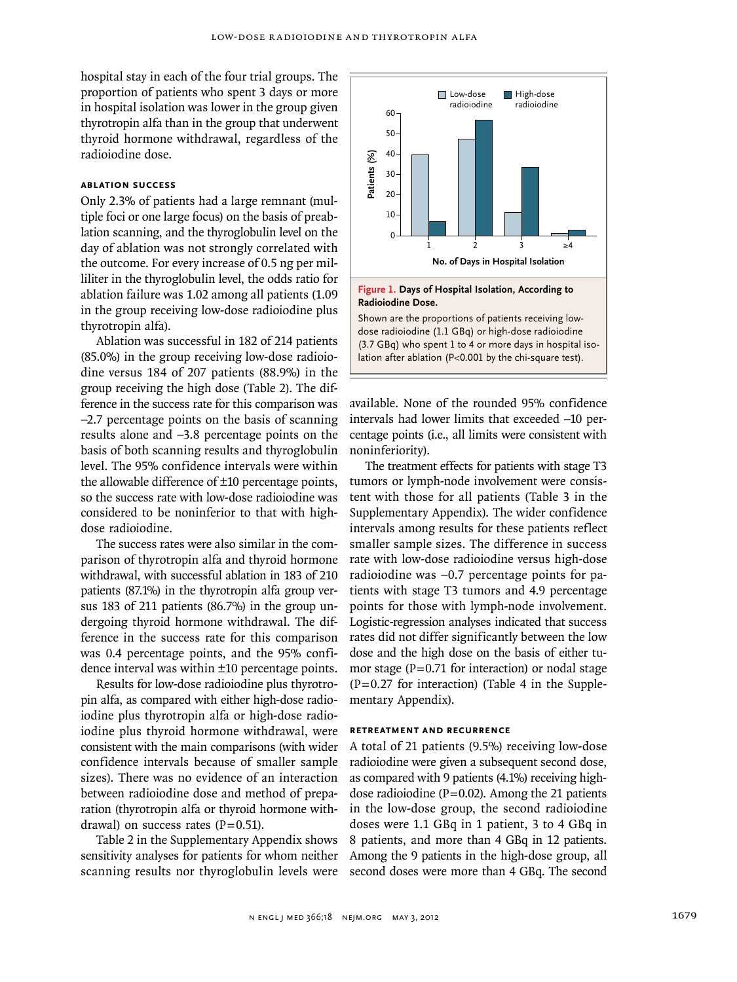hospital stay in each of the four trial groups. The proportion of patients who spent 3 days or more in hospital isolation was lower in the group given thyrotropin alfa than in the group that underwent thyroid hormone withdrawal, regardless of the radioiodine dose.

# **Ablation Success**

Only 2.3% of patients had a large remnant (multiple foci or one large focus) on the basis of preablation scanning, and the thyroglobulin level on the day of ablation was not strongly correlated with the outcome. For every increase of 0.5 ng per milliliter in the thyroglobulin level, the odds ratio for ablation failure was 1.02 among all patients (1.09 in the group receiving low-dose radioiodine plus thyrotropin alfa).

Ablation was successful in 182 of 214 patients (85.0%) in the group receiving low-dose radioiodine versus 184 of 207 patients (88.9%) in the group receiving the high dose (Table 2). The difference in the success rate for this comparison was −2.7 percentage points on the basis of scanning results alone and −3.8 percentage points on the basis of both scanning results and thyroglobulin level. The 95% confidence intervals were within the allowable difference of ±10 percentage points, so the success rate with low-dose radioiodine was considered to be noninferior to that with highdose radioiodine.

The success rates were also similar in the comparison of thyrotropin alfa and thyroid hormone withdrawal, with successful ablation in 183 of 210 patients (87.1%) in the thyrotropin alfa group versus 183 of 211 patients (86.7%) in the group undergoing thyroid hormone withdrawal. The difference in the success rate for this comparison was 0.4 percentage points, and the 95% confidence interval was within ±10 percentage points.

Results for low-dose radioiodine plus thyrotropin alfa, as compared with either high-dose radioiodine plus thyrotropin alfa or high-dose radioiodine plus thyroid hormone withdrawal, were consistent with the main comparisons (with wider confidence intervals because of smaller sample sizes). There was no evidence of an interaction between radioiodine dose and method of preparation (thyrotropin alfa or thyroid hormone withdrawal) on success rates  $(P=0.51)$ .

Table 2 in the Supplementary Appendix shows sensitivity analyses for patients for whom neither scanning results nor thyroglobulin levels were



Shown are the proportions of patients receiving lowdose radioiodine (1.1 GBq) or high-dose radioiodine (3.7 GBq) who spent 1 to 4 or more days in hospital isolation after ablation (P<0.001 by the chi-square test).

available. None of the rounded 95% confidence intervals had lower limits that exceeded −10 percentage points (i.e., all limits were consistent with noninferiority).

The treatment effects for patients with stage T3 tumors or lymph-node involvement were consistent with those for all patients (Table 3 in the Supplementary Appendix). The wider confidence intervals among results for these patients reflect smaller sample sizes. The difference in success rate with low-dose radioiodine versus high-dose radioiodine was −0.7 percentage points for patients with stage T3 tumors and 4.9 percentage points for those with lymph-node involvement. Logistic-regression analyses indicated that success rates did not differ significantly between the low dose and the high dose on the basis of either tumor stage  $(P=0.71$  for interaction) or nodal stage  $(P=0.27$  for interaction) (Table 4 in the Supplementary Appendix). second of the second of the second radio of the second radio second of the second doses were more than 4 GBq. The second doses radioidate Dese. Shown are the proportions of patients receiving low-<br>dose radioidatie (1.1 GB

#### **Retreatment and Recurrence**

A total of 21 patients (9.5%) receiving low-dose radioiodine were given a subsequent second dose, as compared with 9 patients (4.1%) receiving highdose radioiodine ( $P=0.02$ ). Among the 21 patients in the low-dose group, the second radioiodine doses were 1.1 GBq in 1 patient, 3 to 4 GBq in 8 patients, and more than 4 GBq in 12 patients. Among the 9 patients in the high-dose group, all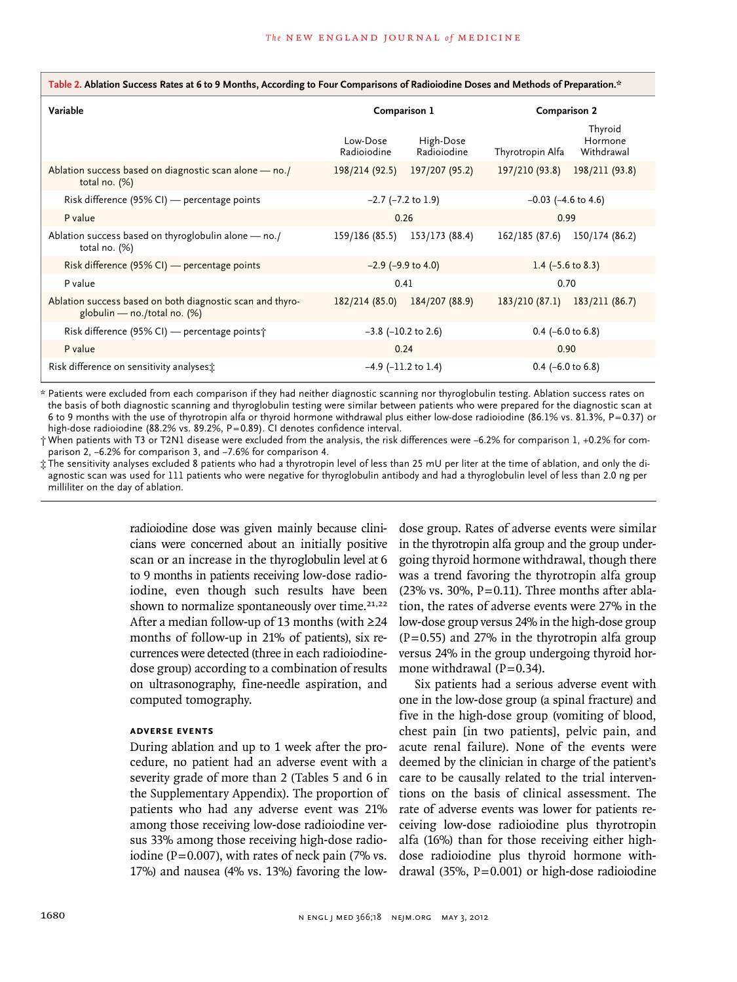## **Table 2. Ablation Success Rates at 6 to 9 Months, According to Four Comparisons of Radioiodine Doses and Methods of Preparation.\***

| Variable                                                                                    | Comparison 1             |                          | <b>Comparison 2</b>          |                                  |
|---------------------------------------------------------------------------------------------|--------------------------|--------------------------|------------------------------|----------------------------------|
|                                                                                             | Low-Dose<br>Radioiodine  | High-Dose<br>Radioiodine | Thyrotropin Alfa             | Thyroid<br>Hormone<br>Withdrawal |
| Ablation success based on diagnostic scan alone - no./<br>total no. $(%)$                   | 198/214 (92.5)           | 197/207 (95.2)           | 197/210 (93.8)               | 198/211 (93.8)                   |
| Risk difference $(95\%$ CI) — percentage points                                             | $-2.7$ ( $-7.2$ to 1.9)  |                          | $-0.03$ ( $-4.6$ to 4.6)     |                                  |
| P value                                                                                     | 0.26                     |                          | 0.99                         |                                  |
| Ablation success based on thyroglobulin alone – no./<br>total no. $(%)$                     | 159/186 (85.5)           | 153/173 (88.4)           | 162/185 (87.6)               | 150/174 (86.2)                   |
| Risk difference (95% CI) — percentage points                                                | $-2.9$ ( $-9.9$ to 4.0)  |                          | 1.4 $(-5.6 \text{ to } 8.3)$ |                                  |
| P value                                                                                     | 0.41                     |                          | 0.70                         |                                  |
| Ablation success based on both diagnostic scan and thyro-<br>globulin — no./total no. $(%)$ | 182/214 (85.0)           | 184/207 (88.9)           | 183/210 (87.1)               | 183/211 (86.7)                   |
| Risk difference (95% CI) — percentage points †                                              | $-3.8$ ( $-10.2$ to 2.6) |                          | $0.4$ (-6.0 to 6.8)          |                                  |
| P value                                                                                     | 0.24                     |                          | 0.90                         |                                  |
| Risk difference on sensitivity analyses:                                                    | $-4.9$ ( $-11.2$ to 1.4) |                          | $0.4$ (-6.0 to 6.8)          |                                  |

\* Patients were excluded from each comparison if they had neither diagnostic scanning nor thyroglobulin testing. Ablation success rates on the basis of both diagnostic scanning and thyroglobulin testing were similar between patients who were prepared for the diagnostic scan at 6 to 9 months with the use of thyrotropin alfa or thyroid hormone withdrawal plus either low-dose radioiodine (86.1% vs. 81.3%, P=0.37) or high-dose radioiodine (88.2% vs. 89.2%, P=0.89). CI denotes confidence interval.

† When patients with T3 or T2N1 disease were excluded from the analysis, the risk differences were −6.2% for comparison 1, +0.2% for comparison 2, −6.2% for comparison 3, and −7.6% for comparison 4.

‡ The sensitivity analyses excluded 8 patients who had a thyrotropin level of less than 25 mU per liter at the time of ablation, and only the diagnostic scan was used for 111 patients who were negative for thyroglobulin antibody and had a thyroglobulin level of less than 2.0 ng per milliliter on the day of ablation.

> radioiodine dose was given mainly because clinicians were concerned about an initially positive scan or an increase in the thyroglobulin level at 6 to 9 months in patients receiving low-dose radioiodine, even though such results have been shown to normalize spontaneously over time. $21,22$ After a median follow-up of 13 months (with ≥24 months of follow-up in 21% of patients), six recurrences were detected (three in each radioiodinedose group) according to a combination of results on ultrasonography, fine-needle aspiration, and computed tomography.

# **Adverse Events**

During ablation and up to 1 week after the procedure, no patient had an adverse event with a severity grade of more than 2 (Tables 5 and 6 in the Supplementary Appendix). The proportion of patients who had any adverse event was 21% among those receiving low-dose radioiodine versus 33% among those receiving high-dose radioiodine ( $P=0.007$ ), with rates of neck pain (7% vs. 17%) and nausea (4% vs. 13%) favoring the lowdose group. Rates of adverse events were similar in the thyrotropin alfa group and the group undergoing thyroid hormone withdrawal, though there was a trend favoring the thyrotropin alfa group (23% vs. 30%,  $P = 0.11$ ). Three months after ablation, the rates of adverse events were 27% in the low-dose group versus 24% in the high-dose group  $(P=0.55)$  and 27% in the thyrotropin alfa group versus 24% in the group undergoing thyroid hormone withdrawal  $(P=0.34)$ .

Six patients had a serious adverse event with one in the low-dose group (a spinal fracture) and five in the high-dose group (vomiting of blood, chest pain [in two patients], pelvic pain, and acute renal failure). None of the events were deemed by the clinician in charge of the patient's care to be causally related to the trial interventions on the basis of clinical assessment. The rate of adverse events was lower for patients receiving low-dose radioiodine plus thyrotropin alfa (16%) than for those receiving either highdose radioiodine plus thyroid hormone withdrawal (35%, P=0.001) or high-dose radioiodine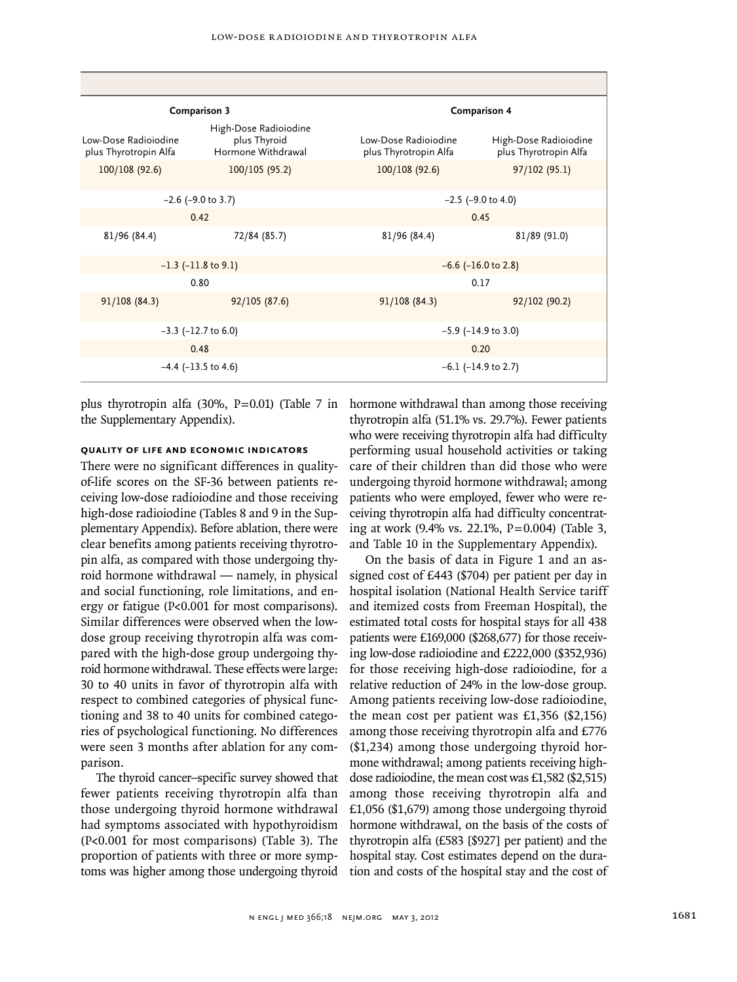| Comparison 3                                  |                                                             |                                               | <b>Comparison 4</b>                            |  |  |
|-----------------------------------------------|-------------------------------------------------------------|-----------------------------------------------|------------------------------------------------|--|--|
| Low-Dose Radioiodine<br>plus Thyrotropin Alfa | High-Dose Radioiodine<br>plus Thyroid<br>Hormone Withdrawal | Low-Dose Radioiodine<br>plus Thyrotropin Alfa | High-Dose Radioiodine<br>plus Thyrotropin Alfa |  |  |
| 100/108 (92.6)                                | 100/105 (95.2)                                              | 100/108 (92.6)                                | 97/102 (95.1)                                  |  |  |
|                                               | $-2.6$ ( $-9.0$ to 3.7)                                     |                                               | $-2.5$ ( $-9.0$ to 4.0)                        |  |  |
|                                               | 0.42                                                        |                                               | 0.45                                           |  |  |
| 81/96 (84.4)                                  | 72/84 (85.7)                                                | 81/96 (84.4)                                  | 81/89 (91.0)                                   |  |  |
| $-1.3$ ( $-11.8$ to 9.1)                      |                                                             | $-6.6$ ( $-16.0$ to 2.8)                      |                                                |  |  |
|                                               | 0.80                                                        |                                               | 0.17                                           |  |  |
| 91/108(84.3)                                  | 92/105 (87.6)                                               | 91/108(84.3)                                  | 92/102 (90.2)                                  |  |  |
|                                               | $-3.3$ ( $-12.7$ to 6.0)                                    |                                               | $-5.9$ ( $-14.9$ to 3.0)                       |  |  |
|                                               | 0.48                                                        |                                               | 0.20                                           |  |  |
|                                               | $-4.4$ ( $-13.5$ to 4.6)                                    |                                               | $-6.1$ ( $-14.9$ to 2.7)                       |  |  |

plus thyrotropin alfa (30%, P=0.01) (Table 7 in hormone withdrawal than among those receiving the Supplementary Appendix).

# **Quality of Life and Economic Indicators**

There were no significant differences in qualityof-life scores on the SF-36 between patients receiving low-dose radioiodine and those receiving high-dose radioiodine (Tables 8 and 9 in the Supplementary Appendix). Before ablation, there were clear benefits among patients receiving thyrotropin alfa, as compared with those undergoing thyroid hormone withdrawal — namely, in physical and social functioning, role limitations, and energy or fatigue (P<0.001 for most comparisons). Similar differences were observed when the lowdose group receiving thyrotropin alfa was compared with the high-dose group undergoing thyroid hormone withdrawal. These effects were large: 30 to 40 units in favor of thyrotropin alfa with respect to combined categories of physical functioning and 38 to 40 units for combined categories of psychological functioning. No differences were seen 3 months after ablation for any comparison.

The thyroid cancer–specific survey showed that fewer patients receiving thyrotropin alfa than those undergoing thyroid hormone withdrawal had symptoms associated with hypothyroidism (P<0.001 for most comparisons) (Table 3). The proportion of patients with three or more symptoms was higher among those undergoing thyroid thyrotropin alfa (51.1% vs. 29.7%). Fewer patients who were receiving thyrotropin alfa had difficulty performing usual household activities or taking care of their children than did those who were undergoing thyroid hormone withdrawal; among patients who were employed, fewer who were receiving thyrotropin alfa had difficulty concentrating at work (9.4% vs. 22.1%, P=0.004) (Table 3, and Table 10 in the Supplementary Appendix).

On the basis of data in Figure 1 and an assigned cost of £443 (\$704) per patient per day in hospital isolation (National Health Service tariff and itemized costs from Freeman Hospital), the estimated total costs for hospital stays for all 438 patients were £169,000 (\$268,677) for those receiving low-dose radioiodine and £222,000 (\$352,936) for those receiving high-dose radioiodine, for a relative reduction of 24% in the low-dose group. Among patients receiving low-dose radioiodine, the mean cost per patient was £1,356 (\$2,156) among those receiving thyrotropin alfa and £776 (\$1,234) among those undergoing thyroid hormone withdrawal; among patients receiving highdose radioiodine, the mean cost was £1,582 (\$2,515) among those receiving thyrotropin alfa and £1,056 (\$1,679) among those undergoing thyroid hormone withdrawal, on the basis of the costs of thyrotropin alfa (£583 [\$927] per patient) and the hospital stay. Cost estimates depend on the duration and costs of the hospital stay and the cost of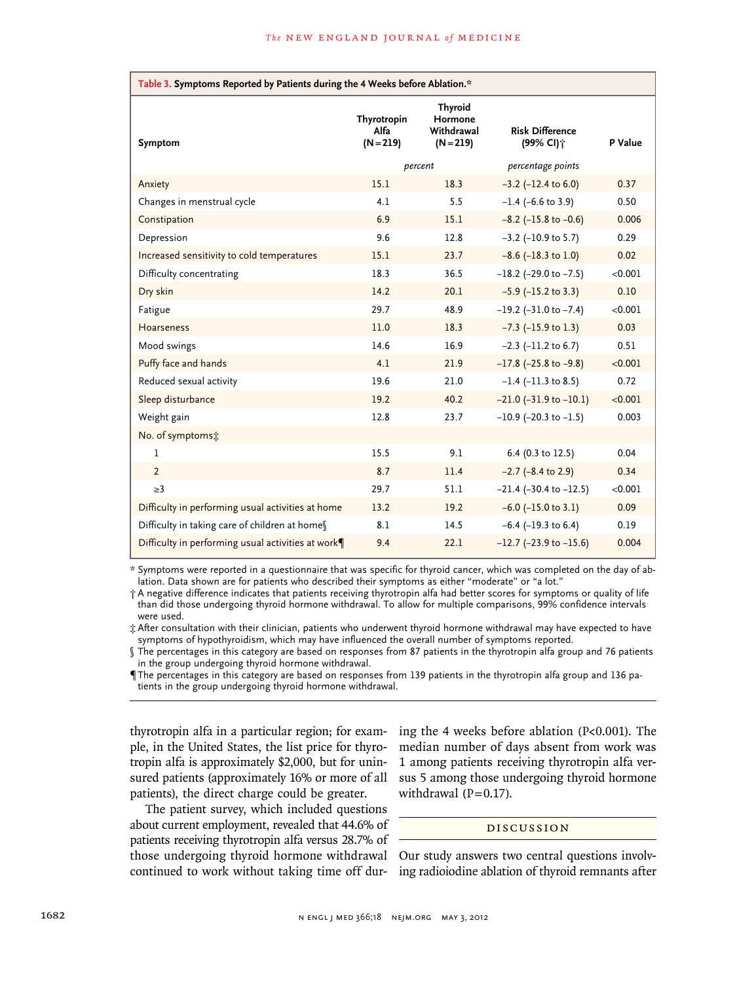| Table 3. Symptoms Reported by Patients during the 4 Weeks before Ablation.* |                                    |                                                        |                                                 |         |  |
|-----------------------------------------------------------------------------|------------------------------------|--------------------------------------------------------|-------------------------------------------------|---------|--|
| Symptom                                                                     | Thyrotropin<br>Alfa<br>$(N = 219)$ | <b>Thyroid</b><br>Hormone<br>Withdrawal<br>$(N = 219)$ | <b>Risk Difference</b><br>(99% CI) <sup>+</sup> | P Value |  |
|                                                                             | percent                            |                                                        | percentage points                               |         |  |
| Anxiety                                                                     | 15.1                               | 18.3                                                   | $-3.2$ ( $-12.4$ to 6.0)                        | 0.37    |  |
| Changes in menstrual cycle                                                  | 4.1                                | 5.5                                                    | $-1.4$ (-6.6 to 3.9)                            | 0.50    |  |
| Constipation                                                                | 6.9                                | 15.1                                                   | $-8.2$ ( $-15.8$ to $-0.6$ )                    | 0.006   |  |
| Depression                                                                  | 9.6                                | 12.8                                                   | $-3.2$ ( $-10.9$ to 5.7)                        | 0.29    |  |
| Increased sensitivity to cold temperatures                                  | 15.1                               | 23.7                                                   | $-8.6$ ( $-18.3$ to 1.0)                        | 0.02    |  |
| Difficulty concentrating                                                    | 18.3                               | 36.5                                                   | $-18.2$ (-29.0 to $-7.5$ )                      | < 0.001 |  |
| Dry skin                                                                    | 14.2                               | 20.1                                                   | $-5.9$ ( $-15.2$ to 3.3)                        | 0.10    |  |
| Fatigue                                                                     | 29.7                               | 48.9                                                   | $-19.2$ ( $-31.0$ to $-7.4$ )                   | < 0.001 |  |
| Hoarseness                                                                  | 11.0                               | 18.3                                                   | $-7.3$ ( $-15.9$ to 1.3)                        | 0.03    |  |
| Mood swings                                                                 | 14.6                               | 16.9                                                   | $-2.3$ ( $-11.2$ to 6.7)                        | 0.51    |  |
| Puffy face and hands                                                        | 4.1                                | 21.9                                                   | $-17.8$ (-25.8 to -9.8)                         | < 0.001 |  |
| Reduced sexual activity                                                     | 19.6                               | 21.0                                                   | $-1.4$ ( $-11.3$ to 8.5)                        | 0.72    |  |
| Sleep disturbance                                                           | 19.2                               | 40.2                                                   | $-21.0$ ( $-31.9$ to $-10.1$ )                  | < 0.001 |  |
| Weight gain                                                                 | 12.8                               | 23.7                                                   | $-10.9$ (-20.3 to $-1.5$ )                      | 0.003   |  |
| No. of symptoms:                                                            |                                    |                                                        |                                                 |         |  |
| 1                                                                           | 15.5                               | 9.1                                                    | 6.4 (0.3 to 12.5)                               | 0.04    |  |
| $\overline{2}$                                                              | 8.7                                | 11.4                                                   | $-2.7$ ( $-8.4$ to 2.9)                         | 0.34    |  |
| >3                                                                          | 29.7                               | 51.1                                                   | $-21.4$ ( $-30.4$ to $-12.5$ )                  | < 0.001 |  |
| Difficulty in performing usual activities at home                           | 13.2                               | 19.2                                                   | $-6.0$ ( $-15.0$ to 3.1)                        | 0.09    |  |
| Difficulty in taking care of children at homes                              | 8.1                                | 14.5                                                   | $-6.4$ ( $-19.3$ to 6.4)                        | 0.19    |  |
| Difficulty in performing usual activities at work¶                          | 9.4                                | 22.1                                                   | $-12.7$ (-23.9 to $-15.6$ )                     | 0.004   |  |

\* Symptoms were reported in a questionnaire that was specific for thyroid cancer, which was completed on the day of ablation. Data shown are for patients who described their symptoms as either "moderate" or "a lot."

† A negative difference indicates that patients receiving thyrotropin alfa had better scores for symptoms or quality of life than did those undergoing thyroid hormone withdrawal. To allow for multiple comparisons, 99% confidence intervals were used.

‡ After consultation with their clinician, patients who underwent thyroid hormone withdrawal may have expected to have symptoms of hypothyroidism, which may have influenced the overall number of symptoms reported.

§ The percentages in this category are based on responses from 87 patients in the thyrotropin alfa group and 76 patients in the group undergoing thyroid hormone withdrawal.

¶The percentages in this category are based on responses from 139 patients in the thyrotropin alfa group and 136 patients in the group undergoing thyroid hormone withdrawal.

thyrotropin alfa in a particular region; for example, in the United States, the list price for thyrotropin alfa is approximately \$2,000, but for uninsured patients (approximately 16% or more of all patients), the direct charge could be greater.

The patient survey, which included questions about current employment, revealed that 44.6% of patients receiving thyrotropin alfa versus 28.7% of those undergoing thyroid hormone withdrawal continued to work without taking time off during the 4 weeks before ablation (P<0.001). The median number of days absent from work was 1 among patients receiving thyrotropin alfa versus 5 among those undergoing thyroid hormone withdrawal  $(P=0.17)$ .

## Discussion

Our study answers two central questions involving radioiodine ablation of thyroid remnants after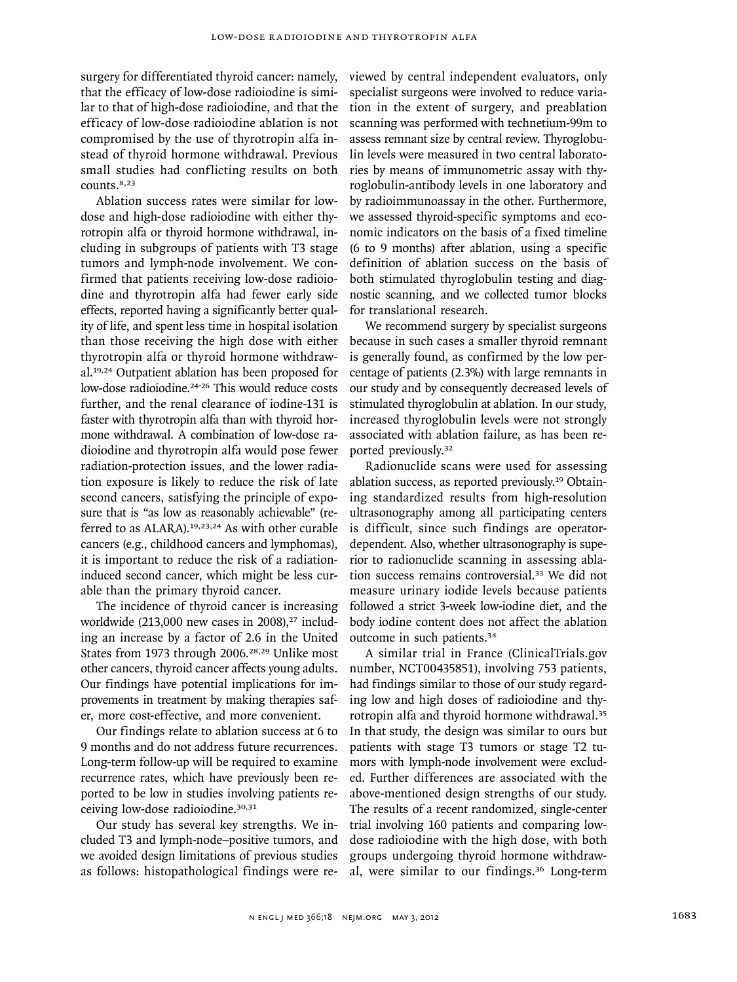surgery for differentiated thyroid cancer: namely, that the efficacy of low-dose radioiodine is similar to that of high-dose radioiodine, and that the efficacy of low-dose radioiodine ablation is not compromised by the use of thyrotropin alfa instead of thyroid hormone withdrawal. Previous small studies had conflicting results on both counts.<sup>8,23</sup>

Ablation success rates were similar for lowdose and high-dose radioiodine with either thyrotropin alfa or thyroid hormone withdrawal, including in subgroups of patients with T3 stage tumors and lymph-node involvement. We confirmed that patients receiving low-dose radioiodine and thyrotropin alfa had fewer early side effects, reported having a significantly better quality of life, and spent less time in hospital isolation than those receiving the high dose with either thyrotropin alfa or thyroid hormone withdrawal.19,24 Outpatient ablation has been proposed for low-dose radioiodine.<sup>24-26</sup> This would reduce costs further, and the renal clearance of iodine-131 is faster with thyrotropin alfa than with thyroid hormone withdrawal. A combination of low-dose radioiodine and thyrotropin alfa would pose fewer radiation-protection issues, and the lower radiation exposure is likely to reduce the risk of late second cancers, satisfying the principle of exposure that is "as low as reasonably achievable" (referred to as ALARA).<sup>19,23,24</sup> As with other curable cancers (e.g., childhood cancers and lymphomas), it is important to reduce the risk of a radiationinduced second cancer, which might be less curable than the primary thyroid cancer.

The incidence of thyroid cancer is increasing worldwide  $(213,000$  new cases in 2008),<sup>27</sup> including an increase by a factor of 2.6 in the United States from 1973 through 2006.<sup>28,29</sup> Unlike most other cancers, thyroid cancer affects young adults. Our findings have potential implications for improvements in treatment by making therapies safer, more cost-effective, and more convenient.

Our findings relate to ablation success at 6 to 9 months and do not address future recurrences. Long-term follow-up will be required to examine recurrence rates, which have previously been reported to be low in studies involving patients receiving low-dose radioiodine.<sup>30,31</sup>

Our study has several key strengths. We included T3 and lymph-node–positive tumors, and we avoided design limitations of previous studies as follows: histopathological findings were reviewed by central independent evaluators, only specialist surgeons were involved to reduce variation in the extent of surgery, and preablation scanning was performed with technetium-99m to assess remnant size by central review. Thyroglobulin levels were measured in two central laboratories by means of immunometric assay with thyroglobulin-antibody levels in one laboratory and by radioimmunoassay in the other. Furthermore, we assessed thyroid-specific symptoms and economic indicators on the basis of a fixed timeline (6 to 9 months) after ablation, using a specific definition of ablation success on the basis of both stimulated thyroglobulin testing and diagnostic scanning, and we collected tumor blocks for translational research.

We recommend surgery by specialist surgeons because in such cases a smaller thyroid remnant is generally found, as confirmed by the low percentage of patients (2.3%) with large remnants in our study and by consequently decreased levels of stimulated thyroglobulin at ablation. In our study, increased thyroglobulin levels were not strongly associated with ablation failure, as has been reported previously.<sup>32</sup>

Radionuclide scans were used for assessing ablation success, as reported previously.19 Obtaining standardized results from high-resolution ultrasonography among all participating centers is difficult, since such findings are operatordependent. Also, whether ultrasonography is superior to radionuclide scanning in assessing ablation success remains controversial.33 We did not measure urinary iodide levels because patients followed a strict 3-week low-iodine diet, and the body iodine content does not affect the ablation outcome in such patients.<sup>34</sup>

A similar trial in France (ClinicalTrials.gov number, NCT00435851), involving 753 patients, had findings similar to those of our study regarding low and high doses of radioiodine and thyrotropin alfa and thyroid hormone withdrawal.<sup>35</sup> In that study, the design was similar to ours but patients with stage T3 tumors or stage T2 tumors with lymph-node involvement were excluded. Further differences are associated with the above-mentioned design strengths of our study. The results of a recent randomized, single-center trial involving 160 patients and comparing lowdose radioiodine with the high dose, with both groups undergoing thyroid hormone withdrawal, were similar to our findings.36 Long-term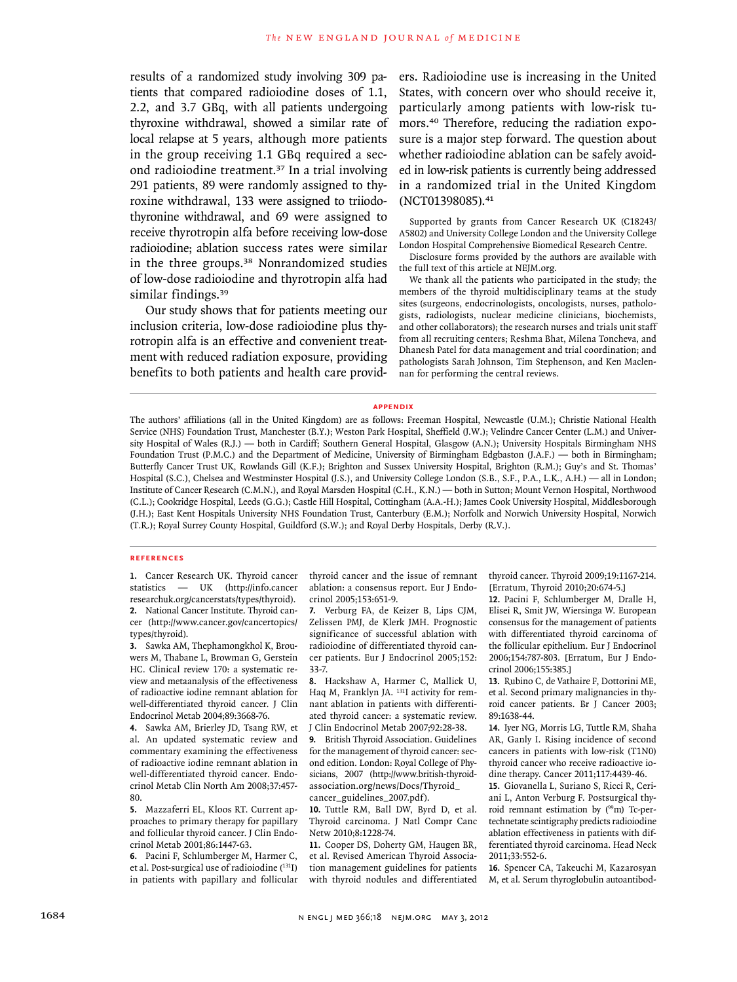results of a randomized study involving 309 patients that compared radioiodine doses of 1.1, 2.2, and 3.7 GBq, with all patients undergoing thyroxine withdrawal, showed a similar rate of local relapse at 5 years, although more patients in the group receiving 1.1 GBq required a second radioiodine treatment.37 In a trial involving 291 patients, 89 were randomly assigned to thyroxine withdrawal, 133 were assigned to triiodothyronine withdrawal, and 69 were assigned to receive thyrotropin alfa before receiving low-dose radioiodine; ablation success rates were similar in the three groups.<sup>38</sup> Nonrandomized studies of low-dose radioiodine and thyrotropin alfa had similar findings.<sup>39</sup>

Our study shows that for patients meeting our inclusion criteria, low-dose radioiodine plus thyrotropin alfa is an effective and convenient treatment with reduced radiation exposure, providing benefits to both patients and health care providers. Radioiodine use is increasing in the United States, with concern over who should receive it, particularly among patients with low-risk tumors.40 Therefore, reducing the radiation exposure is a major step forward. The question about whether radioiodine ablation can be safely avoided in low-risk patients is currently being addressed in a randomized trial in the United Kingdom (NCT01398085).<sup>41</sup>

Supported by grants from Cancer Research UK (C18243/ A5802) and University College London and the University College London Hospital Comprehensive Biomedical Research Centre.

Disclosure forms provided by the authors are available with the full text of this article at NEJM.org.

We thank all the patients who participated in the study; the members of the thyroid multidisciplinary teams at the study sites (surgeons, endocrinologists, oncologists, nurses, pathologists, radiologists, nuclear medicine clinicians, biochemists, and other collaborators); the research nurses and trials unit staff from all recruiting centers; Reshma Bhat, Milena Toncheva, and Dhanesh Patel for data management and trial coordination; and pathologists Sarah Johnson, Tim Stephenson, and Ken Maclennan for performing the central reviews.

#### **Appendix**

The authors' affiliations (all in the United Kingdom) are as follows: Freeman Hospital, Newcastle (U.M.); Christie National Health Service (NHS) Foundation Trust, Manchester (B.Y.); Weston Park Hospital, Sheffield (J.W.); Velindre Cancer Center (L.M.) and University Hospital of Wales (R.J.) — both in Cardiff; Southern General Hospital, Glasgow (A.N.); University Hospitals Birmingham NHS Foundation Trust (P.M.C.) and the Department of Medicine, University of Birmingham Edgbaston (J.A.F.) — both in Birmingham; Butterfly Cancer Trust UK, Rowlands Gill (K.F.); Brighton and Sussex University Hospital, Brighton (R.M.); Guy's and St. Thomas' Hospital (S.C.), Chelsea and Westminster Hospital (J.S.), and University College London (S.B., S.F., P.A., L.K., A.H.) — all in London; Institute of Cancer Research (C.M.N.), and Royal Marsden Hospital (C.H., K.N.) — both in Sutton; Mount Vernon Hospital, Northwood (C.L.); Cookridge Hospital, Leeds (G.G.); Castle Hill Hospital, Cottingham (A.A.-H.); James Cook University Hospital, Middlesborough (J.H.); East Kent Hospitals University NHS Foundation Trust, Canterbury (E.M.); Norfolk and Norwich University Hospital, Norwich (T.R.); Royal Surrey County Hospital, Guildford (S.W.); and Royal Derby Hospitals, Derby (R.V.).

#### **References**

**1.** Cancer Research UK. Thyroid cancer statistics — UK (http://info.cancer researchuk.org/cancerstats/types/thyroid). **2.** National Cancer Institute. Thyroid cancer (http://www.cancer.gov/cancertopics/

types/thyroid). **3.** Sawka AM, Thephamongkhol K, Brouwers M, Thabane L, Browman G, Gerstein HC. Clinical review 170: a systematic review and metaanalysis of the effectiveness of radioactive iodine remnant ablation for well-differentiated thyroid cancer. J Clin Endocrinol Metab 2004;89:3668-76.

**4.** Sawka AM, Brierley JD, Tsang RW, et al. An updated systematic review and commentary examining the effectiveness of radioactive iodine remnant ablation in well-differentiated thyroid cancer. Endocrinol Metab Clin North Am 2008;37:457- 80.

**5.** Mazzaferri EL, Kloos RT. Current approaches to primary therapy for papillary and follicular thyroid cancer. J Clin Endocrinol Metab 2001;86:1447-63.

**6.** Pacini F, Schlumberger M, Harmer C, et al. Post-surgical use of radioiodine (131I) in patients with papillary and follicular thyroid cancer and the issue of remnant ablation: a consensus report. Eur J Endocrinol 2005;153:651-9.

**7.** Verburg FA, de Keizer B, Lips CJM, Zelissen PMJ, de Klerk JMH. Prognostic significance of successful ablation with radioiodine of differentiated thyroid cancer patients. Eur J Endocrinol 2005;152: 33-7.

**8.** Hackshaw A, Harmer C, Mallick U, Haq M, Franklyn JA. <sup>131</sup>I activity for remnant ablation in patients with differentiated thyroid cancer: a systematic review. J Clin Endocrinol Metab 2007;92:28-38.

**9.** British Thyroid Association. Guidelines for the management of thyroid cancer: second edition. London: Royal College of Physicians, 2007 (http://www.british-thyroidassociation.org/news/Docs/Thyroid\_ cancer\_guidelines\_2007.pdf).

**10.** Tuttle RM, Ball DW, Byrd D, et al. Thyroid carcinoma. J Natl Compr Canc Netw 2010;8:1228-74.

**11.** Cooper DS, Doherty GM, Haugen BR, et al. Revised American Thyroid Association management guidelines for patients with thyroid nodules and differentiated thyroid cancer. Thyroid 2009;19:1167-214. [Erratum, Thyroid 2010;20:674-5.]

**12.** Pacini F, Schlumberger M, Dralle H, Elisei R, Smit JW, Wiersinga W. European consensus for the management of patients with differentiated thyroid carcinoma of the follicular epithelium. Eur J Endocrinol 2006;154:787-803. [Erratum, Eur J Endocrinol 2006;155:385.]

**13.** Rubino C, de Vathaire F, Dottorini ME, et al. Second primary malignancies in thyroid cancer patients. Br J Cancer 2003; 89:1638-44.

**14.** Iyer NG, Morris LG, Tuttle RM, Shaha AR, Ganly I. Rising incidence of second cancers in patients with low-risk (T1N0) thyroid cancer who receive radioactive iodine therapy. Cancer 2011;117:4439-46.

**15.** Giovanella L, Suriano S, Ricci R, Ceriani L, Anton Verburg F. Postsurgical thyroid remnant estimation by (99m) Tc-pertechnetate scintigraphy predicts radioiodine ablation effectiveness in patients with differentiated thyroid carcinoma. Head Neck 2011;33:552-6.

**16.** Spencer CA, Takeuchi M, Kazarosyan M, et al. Serum thyroglobulin autoantibod-